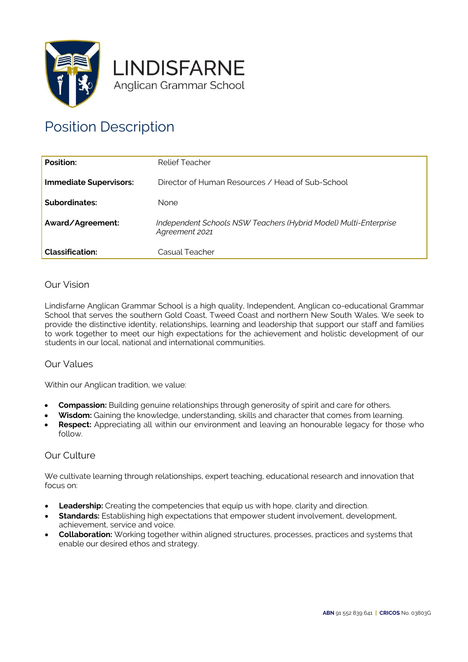



# Position Description

| Position:                     | Relief Teacher                                                                     |
|-------------------------------|------------------------------------------------------------------------------------|
| <b>Immediate Supervisors:</b> | Director of Human Resources / Head of Sub-School                                   |
| Subordinates:                 | <b>None</b>                                                                        |
| Award/Agreement:              | Independent Schools NSW Teachers (Hybrid Model) Multi-Enterprise<br>Agreement 2021 |
| <b>Classification:</b>        | Casual Teacher                                                                     |

# Our Vision

Lindisfarne Anglican Grammar School is a high quality, Independent, Anglican co-educational Grammar School that serves the southern Gold Coast, Tweed Coast and northern New South Wales. We seek to provide the distinctive identity, relationships, learning and leadership that support our staff and families to work together to meet our high expectations for the achievement and holistic development of our students in our local, national and international communities.

#### Our Values

Within our Anglican tradition, we value:

- **Compassion:** Building genuine relationships through generosity of spirit and care for others.
- **Wisdom:** Gaining the knowledge, understanding, skills and character that comes from learning.
- **Respect:** Appreciating all within our environment and leaving an honourable legacy for those who follow.

#### Our Culture

We cultivate learning through relationships, expert teaching, educational research and innovation that focus on:

- **Leadership:** Creating the competencies that equip us with hope, clarity and direction.
- **Standards:** Establishing high expectations that empower student involvement, development, achievement, service and voice.
- **Collaboration:** Working together within aligned structures, processes, practices and systems that enable our desired ethos and strategy.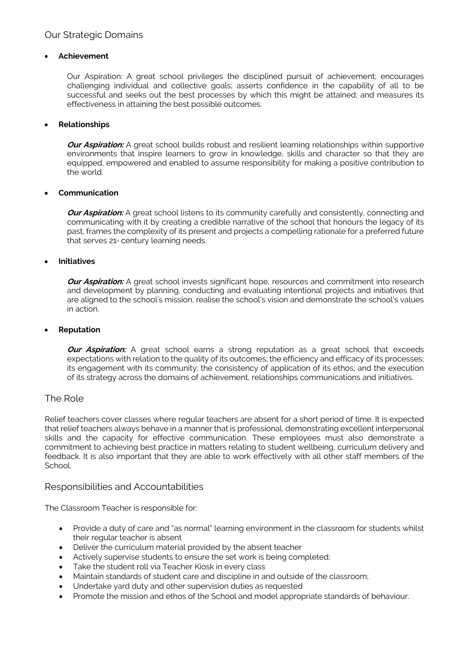#### • **Achievement**

Our Aspiration: A great school privileges the disciplined pursuit of achievement; encourages challenging individual and collective goals; asserts confidence in the capability of all to be successful and seeks out the best processes by which this might be attained; and measures its effectiveness in attaining the best possible outcomes.

#### • **Relationships**

*Our Aspiration:* A great school builds robust and resilient learning relationships within supportive environments that inspire learners to grow in knowledge, skills and character so that they are equipped, empowered and enabled to assume responsibility for making a positive contribution to the world.

## • **Communication**

**Our Aspiration:** A great school listens to its community carefully and consistently, connecting and communicating with it by creating a credible narrative of the school that honours the legacy of its past, frames the complexity of its present and projects a compelling rationale for a preferred future that serves  $21<sub>st</sub>$  century learning needs.

#### • **Initiatives**

**Our Aspiration:** A great school invests significant hope, resources and commitment into research and development by planning, conducting and evaluating intentional projects and initiatives that are aligned to the school's mission, realise the school's vision and demonstrate the school's values in action.

#### • **Reputation**

*Our Aspiration:* A great school earns a strong reputation as a great school that exceeds expectations with relation to the quality of its outcomes; the efficiency and efficacy of its processes; its engagement with its community; the consistency of application of its ethos; and the execution of its strategy across the domains of achievement, relationships communications and initiatives.

# The Role

Relief teachers cover classes where regular teachers are absent for a short period of time. It is expected that relief teachers always behave in a manner that is professional, demonstrating excellent interpersonal skills and the capacity for effective communication. These employees must also demonstrate a commitment to achieving best practice in matters relating to student wellbeing, curriculum delivery and feedback. It is also important that they are able to work effectively with all other staff members of the School.

# Responsibilities and Accountabilities

The Classroom Teacher is responsible for:

- Provide a duty of care and "as normal" learning environment in the classroom for students whilst their regular teacher is absent
- Deliver the curriculum material provided by the absent teacher
- Actively supervise students to ensure the set work is being completed;
- Take the student roll via Teacher Kiosk in every class
- Maintain standards of student care and discipline in and outside of the classroom;
- Undertake yard duty and other supervision duties as requested
- Promote the mission and ethos of the School and model appropriate standards of behaviour.